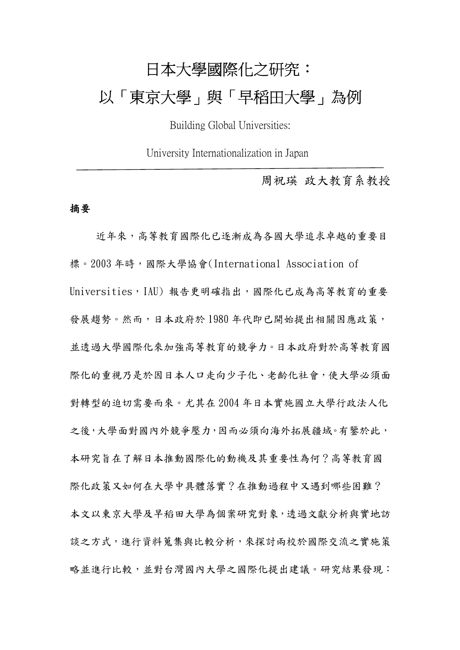# 日本大學國際化之研究: 以「東京大學」與「早稻田大學」為例

Building Global Universities:

University Internationalization in Japan

周祝瑛 政大教育系教授

#### 摘要

近年來,高等教育國際化已逐漸成為各國大學追求卓越的重要目 標。2003 年時,國際大學協會(International Association of Universities, IAU) 報告更明確指出,國際化已成為高等教育的重要 發展趨勢。然而,日本政府於 1980 年代即已開始提出相關因應政策, 並透過大學國際化來加強高等教育的競爭力。日本政府對於高等教育國 際化的重視乃是於因日本人口走向少子化、老齡化社會,使大學必須面 對轉型的迫切需要而來。尤其在 2004 年日本實施國立大學行政法人化 之後,大學面對國內外競爭壓力,因而必須向海外拓展疆域。有鑒於此, 本研究旨在了解日本推動國際化的動機及其重要性為何?高等教育國 際化政策又如何在大學中具體落實?在推動過程中又遇到哪些困難? 本文以東京大學及早稻田大學為個案研究對象,透過文獻分析與實地訪 談之方式,進行資料蒐集與比較分析,來探討兩校於國際交流之實施策 略並進行比較,並對台灣國內大學之國際化提出建議。研究結果發現: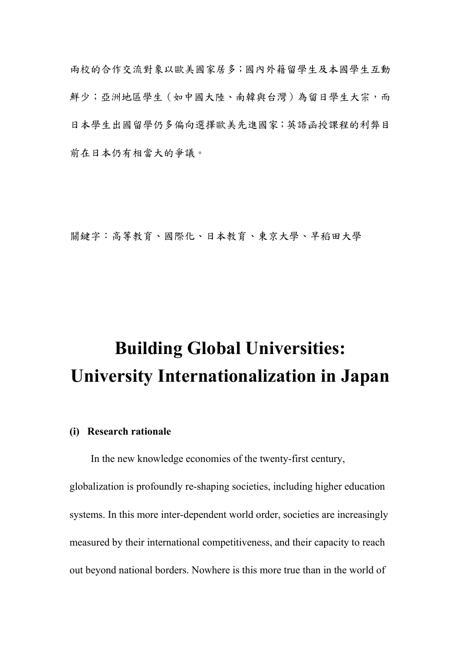兩校的合作交流對象以歐美國家居多;國內外籍留學生及本國學生互動 鮮少;亞洲地區學生(如中國大陸、南韓與台灣)為留日學生大宗,而 日本學生出國留學仍多偏向選擇歐美先進國家;英語函授課程的利弊目 前在日本仍有相當大的爭議。

關鍵字:高等教育、國際化、日本教育、東京大學、早稻田大學

# Building Global Universities: University Internationalization in Japan

### (i) Research rationale

In the new knowledge economies of the twenty-first century,

globalization is profoundly re-shaping societies, including higher education systems. In this more inter-dependent world order, societies are increasingly measured by their international competitiveness, and their capacity to reach out beyond national borders. Nowhere is this more true than in the world of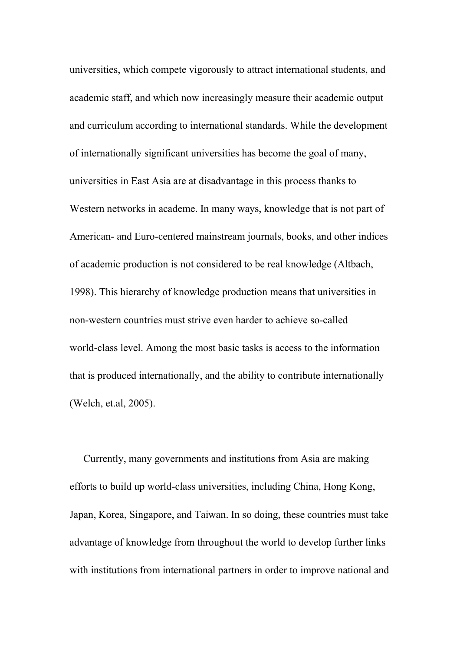universities, which compete vigorously to attract international students, and academic staff, and which now increasingly measure their academic output and curriculum according to international standards. While the development of internationally significant universities has become the goal of many, universities in East Asia are at disadvantage in this process thanks to Western networks in academe. In many ways, knowledge that is not part of American- and Euro-centered mainstream journals, books, and other indices of academic production is not considered to be real knowledge (Altbach, 1998). This hierarchy of knowledge production means that universities in non-western countries must strive even harder to achieve so-called world-class level. Among the most basic tasks is access to the information that is produced internationally, and the ability to contribute internationally (Welch, et.al, 2005).

Currently, many governments and institutions from Asia are making efforts to build up world-class universities, including China, Hong Kong, Japan, Korea, Singapore, and Taiwan. In so doing, these countries must take advantage of knowledge from throughout the world to develop further links with institutions from international partners in order to improve national and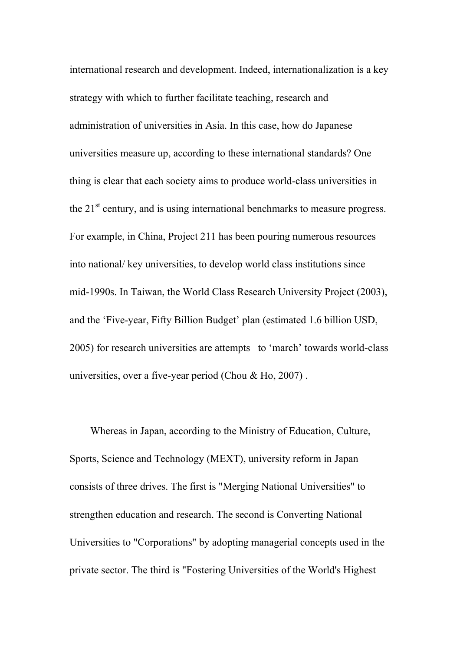international research and development. Indeed, internationalization is a key strategy with which to further facilitate teaching, research and administration of universities in Asia. In this case, how do Japanese universities measure up, according to these international standards? One thing is clear that each society aims to produce world-class universities in the 21<sup>st</sup> century, and is using international benchmarks to measure progress. For example, in China, Project 211 has been pouring numerous resources into national/ key universities, to develop world class institutions since mid-1990s. In Taiwan, the World Class Research University Project (2003), and the 'Five-year, Fifty Billion Budget' plan (estimated 1.6 billion USD, 2005) for research universities are attempts to 'march' towards world-class universities, over a five-year period (Chou  $&$  Ho, 2007).

 Whereas in Japan, according to the Ministry of Education, Culture, Sports, Science and Technology (MEXT), university reform in Japan consists of three drives. The first is "Merging National Universities" to strengthen education and research. The second is Converting National Universities to "Corporations" by adopting managerial concepts used in the private sector. The third is "Fostering Universities of the World's Highest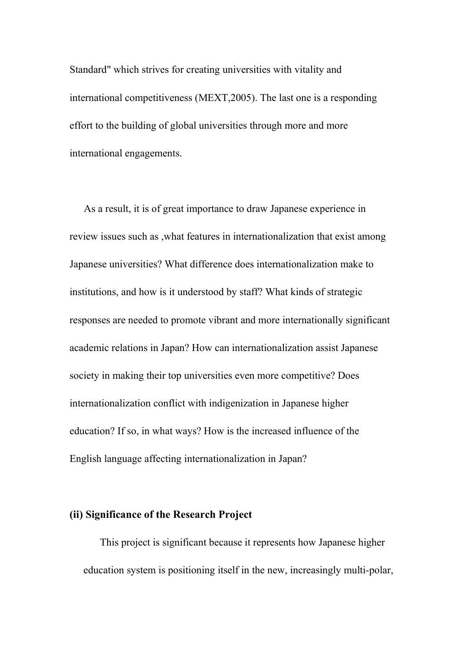Standard" which strives for creating universities with vitality and international competitiveness (MEXT,2005). The last one is a responding effort to the building of global universities through more and more international engagements.

 As a result, it is of great importance to draw Japanese experience in review issues such as ,what features in internationalization that exist among Japanese universities? What difference does internationalization make to institutions, and how is it understood by staff? What kinds of strategic responses are needed to promote vibrant and more internationally significant academic relations in Japan? How can internationalization assist Japanese society in making their top universities even more competitive? Does internationalization conflict with indigenization in Japanese higher education? If so, in what ways? How is the increased influence of the English language affecting internationalization in Japan?

## (ii) Significance of the Research Project

 This project is significant because it represents how Japanese higher education system is positioning itself in the new, increasingly multi-polar,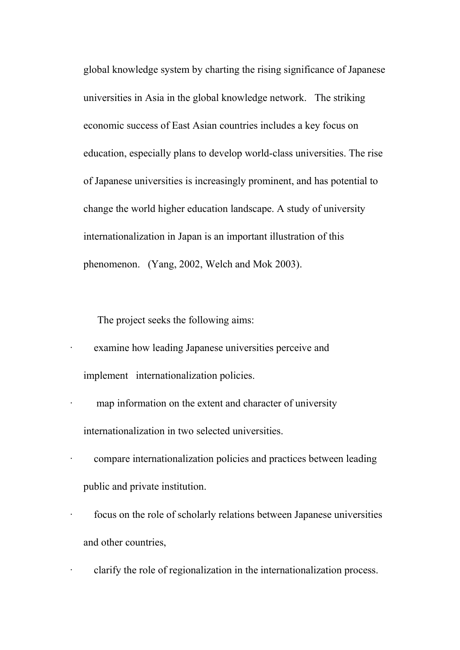global knowledge system by charting the rising significance of Japanese universities in Asia in the global knowledge network. The striking economic success of East Asian countries includes a key focus on education, especially plans to develop world-class universities. The rise of Japanese universities is increasingly prominent, and has potential to change the world higher education landscape. A study of university internationalization in Japan is an important illustration of this phenomenon. (Yang, 2002, Welch and Mok 2003).

The project seeks the following aims:

examine how leading Japanese universities perceive and implement internationalization policies.

- map information on the extent and character of university internationalization in two selected universities.
- · compare internationalization policies and practices between leading public and private institution.
- focus on the role of scholarly relations between Japanese universities and other countries,

clarify the role of regionalization in the internationalization process.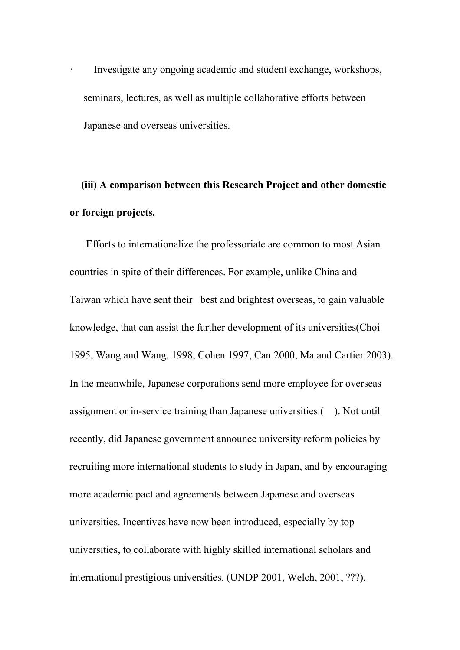Investigate any ongoing academic and student exchange, workshops, seminars, lectures, as well as multiple collaborative efforts between Japanese and overseas universities.

# (iii) A comparison between this Research Project and other domestic or foreign projects.

 Efforts to internationalize the professoriate are common to most Asian countries in spite of their differences. For example, unlike China and Taiwan which have sent their best and brightest overseas, to gain valuable knowledge, that can assist the further development of its universities(Choi 1995, Wang and Wang, 1998, Cohen 1997, Can 2000, Ma and Cartier 2003). In the meanwhile, Japanese corporations send more employee for overseas assignment or in-service training than Japanese universities ( ). Not until recently, did Japanese government announce university reform policies by recruiting more international students to study in Japan, and by encouraging more academic pact and agreements between Japanese and overseas universities. Incentives have now been introduced, especially by top universities, to collaborate with highly skilled international scholars and international prestigious universities. (UNDP 2001, Welch, 2001, ???).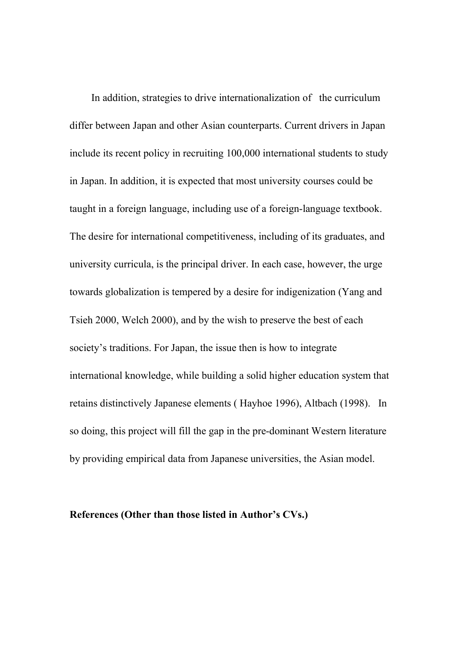In addition, strategies to drive internationalization of the curriculum differ between Japan and other Asian counterparts. Current drivers in Japan include its recent policy in recruiting 100,000 international students to study in Japan. In addition, it is expected that most university courses could be taught in a foreign language, including use of a foreign-language textbook. The desire for international competitiveness, including of its graduates, and university curricula, is the principal driver. In each case, however, the urge towards globalization is tempered by a desire for indigenization (Yang and Tsieh 2000, Welch 2000), and by the wish to preserve the best of each society's traditions. For Japan, the issue then is how to integrate international knowledge, while building a solid higher education system that retains distinctively Japanese elements ( Hayhoe 1996), Altbach (1998). In so doing, this project will fill the gap in the pre-dominant Western literature by providing empirical data from Japanese universities, the Asian model.

#### References (Other than those listed in Author's CVs.)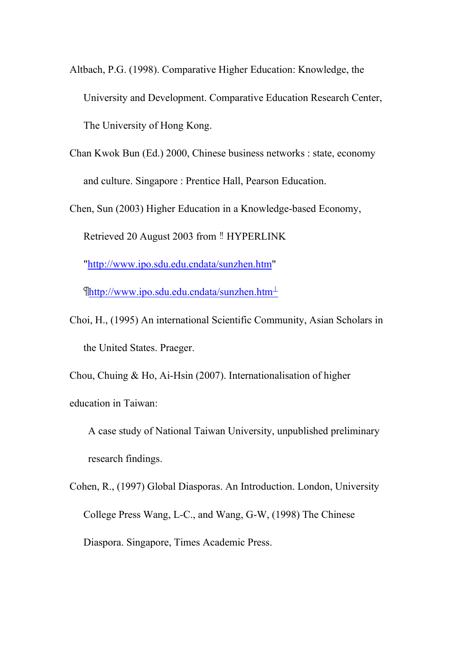- Altbach, P.G. (1998). Comparative Higher Education: Knowledge, the University and Development. Comparative Education Research Center, The University of Hong Kong.
- Chan Kwok Bun (Ed.) 2000, Chinese business networks : state, economy and culture. Singapore : Prentice Hall, Pearson Education.

Chen, Sun (2003) Higher Education in a Knowledge-based Economy,

Retrieved 20 August 2003 from ‼ HYPERLINK

"http://www.ipo.sdu.edu.cndata/sunzhen.htm"

 $\int_0^{\infty}$ http://www.ipo.sdu.edu.cndata/sunzhen.htm<sup>1</sup>

Choi, H., (1995) An international Scientific Community, Asian Scholars in the United States. Praeger.

Chou, Chuing & Ho, Ai-Hsin (2007). Internationalisation of higher

education in Taiwan:

A case study of National Taiwan University, unpublished preliminary research findings.

Cohen, R., (1997) Global Diasporas. An Introduction. London, University College Press Wang, L-C., and Wang, G-W, (1998) The Chinese Diaspora. Singapore, Times Academic Press.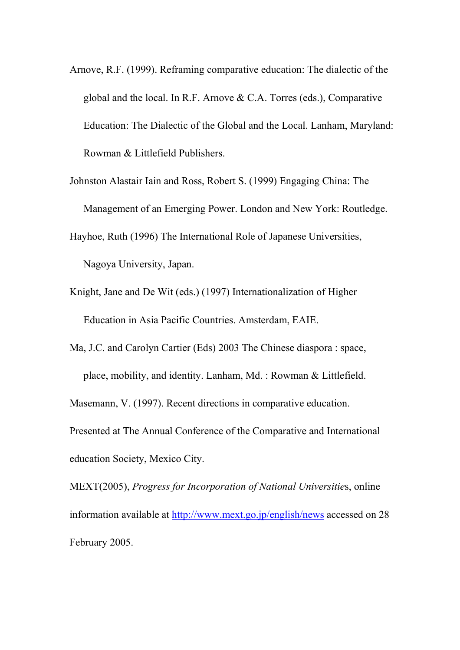Arnove, R.F. (1999). Reframing comparative education: The dialectic of the global and the local. In R.F. Arnove & C.A. Torres (eds.), Comparative Education: The Dialectic of the Global and the Local. Lanham, Maryland: Rowman & Littlefield Publishers.

Johnston Alastair Iain and Ross, Robert S. (1999) Engaging China: The Management of an Emerging Power. London and New York: Routledge.

Hayhoe, Ruth (1996) The International Role of Japanese Universities, Nagoya University, Japan.

Knight, Jane and De Wit (eds.) (1997) Internationalization of Higher Education in Asia Pacific Countries. Amsterdam, EAIE.

Ma, J.C. and Carolyn Cartier (Eds) 2003 The Chinese diaspora : space, place, mobility, and identity. Lanham, Md. : Rowman & Littlefield.

Masemann, V. (1997). Recent directions in comparative education.

Presented at The Annual Conference of the Comparative and International education Society, Mexico City.

MEXT(2005), Progress for Incorporation of National Universities, online information available at http://www.mext.go.jp/english/news accessed on 28 February 2005.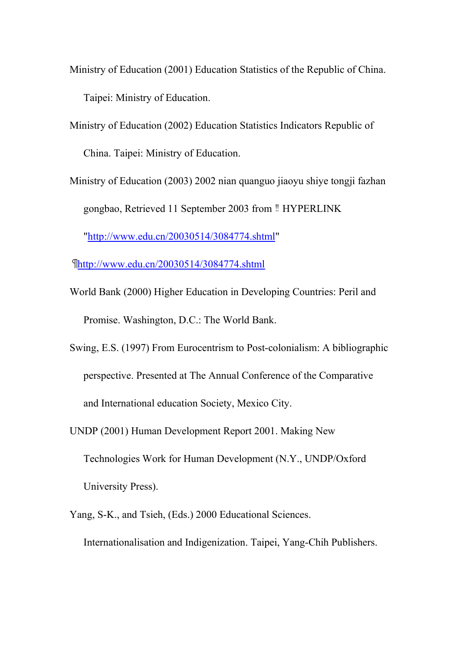- Ministry of Education (2001) Education Statistics of the Republic of China. Taipei: Ministry of Education.
- Ministry of Education (2002) Education Statistics Indicators Republic of China. Taipei: Ministry of Education.
- Ministry of Education (2003) 2002 nian quanguo jiaoyu shiye tongji fazhan gongbao, Retrieved 11 September 2003 from ‼ HYPERLINK "http://www.edu.cn/20030514/3084774.shtml"
- http://www.edu.cn/20030514/3084774.shtml
- World Bank (2000) Higher Education in Developing Countries: Peril and Promise. Washington, D.C.: The World Bank.
- Swing, E.S. (1997) From Eurocentrism to Post-colonialism: A bibliographic perspective. Presented at The Annual Conference of the Comparative and International education Society, Mexico City.
- UNDP (2001) Human Development Report 2001. Making New Technologies Work for Human Development (N.Y., UNDP/Oxford University Press).
- Yang, S-K., and Tsieh, (Eds.) 2000 Educational Sciences. Internationalisation and Indigenization. Taipei, Yang-Chih Publishers.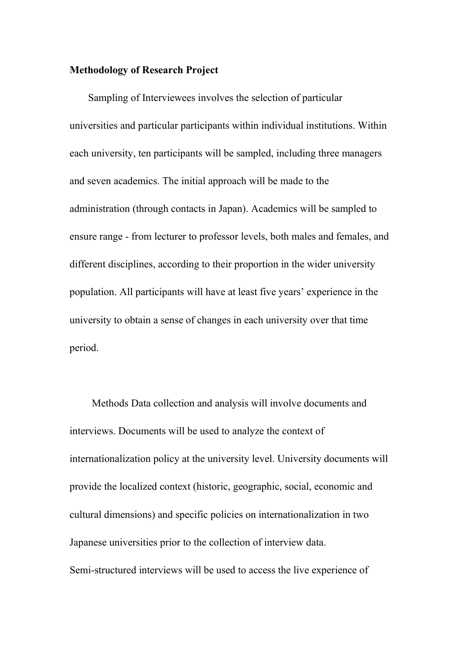### Methodology of Research Project

Sampling of Interviewees involves the selection of particular universities and particular participants within individual institutions. Within each university, ten participants will be sampled, including three managers and seven academics. The initial approach will be made to the administration (through contacts in Japan). Academics will be sampled to ensure range - from lecturer to professor levels, both males and females, and different disciplines, according to their proportion in the wider university population. All participants will have at least five years' experience in the university to obtain a sense of changes in each university over that time period.

 Methods Data collection and analysis will involve documents and interviews. Documents will be used to analyze the context of internationalization policy at the university level. University documents will provide the localized context (historic, geographic, social, economic and cultural dimensions) and specific policies on internationalization in two Japanese universities prior to the collection of interview data. Semi-structured interviews will be used to access the live experience of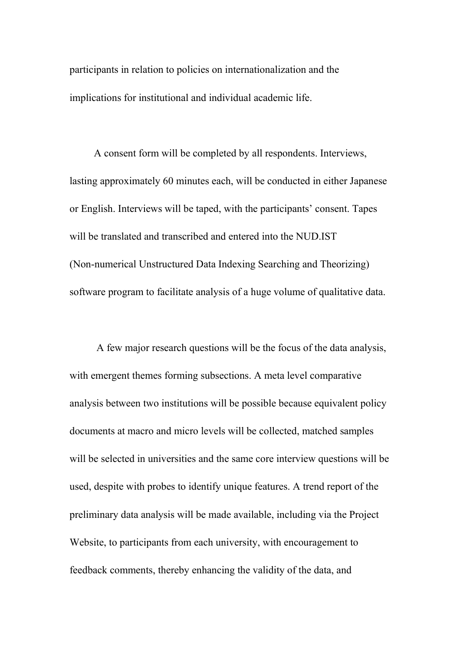participants in relation to policies on internationalization and the implications for institutional and individual academic life.

 A consent form will be completed by all respondents. Interviews, lasting approximately 60 minutes each, will be conducted in either Japanese or English. Interviews will be taped, with the participants' consent. Tapes will be translated and transcribed and entered into the NUD.IST (Non-numerical Unstructured Data Indexing Searching and Theorizing) software program to facilitate analysis of a huge volume of qualitative data.

 A few major research questions will be the focus of the data analysis, with emergent themes forming subsections. A meta level comparative analysis between two institutions will be possible because equivalent policy documents at macro and micro levels will be collected, matched samples will be selected in universities and the same core interview questions will be used, despite with probes to identify unique features. A trend report of the preliminary data analysis will be made available, including via the Project Website, to participants from each university, with encouragement to feedback comments, thereby enhancing the validity of the data, and